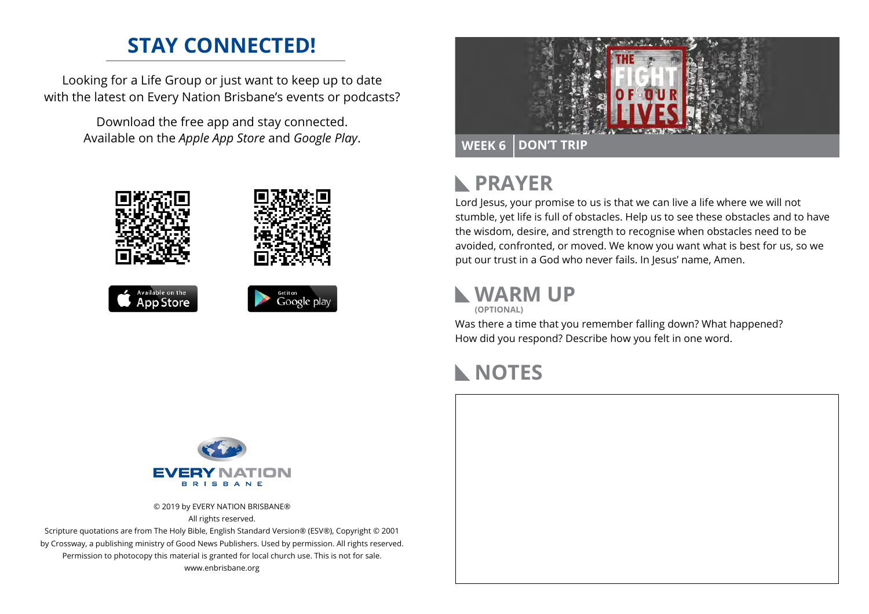# **STAY CONNECTED!**

Looking for a Life Group or just want to keep up to date with the latest on Every Nation Brisbane's events or podcasts?

> Download the free app and stay connected. Available on the *Apple App Store* and *Google Play*.





#### **PRAYER**  $\mathbb{R}$

Lord Jesus, your promise to us is that we can live a life where we will not stumble, yet life is full of obstacles. Help us to see these obstacles and to have the wisdom, desire, and strength to recognise when obstacles need to be avoided, confronted, or moved. We know you want what is best for us, so we put our trust in a God who never fails. In Jesus' name, Amen.

### **WARM UP (OPTIONAL)**

Was there a time that you remember falling down? What happened?

# How did you respond? Describe how you felt in one word.

## **NOTES**



© 2019 by EVERY NATION BRISBANE® All rights reserved.

Scripture quotations are from The Holy Bible, English Standard Version® (ESV®), Copyright © 2001 by Crossway, a publishing ministry of Good News Publishers. Used by permission. All rights reserved. Permission to photocopy this material is granted for local church use. This is not for sale. www.enbrisbane.org